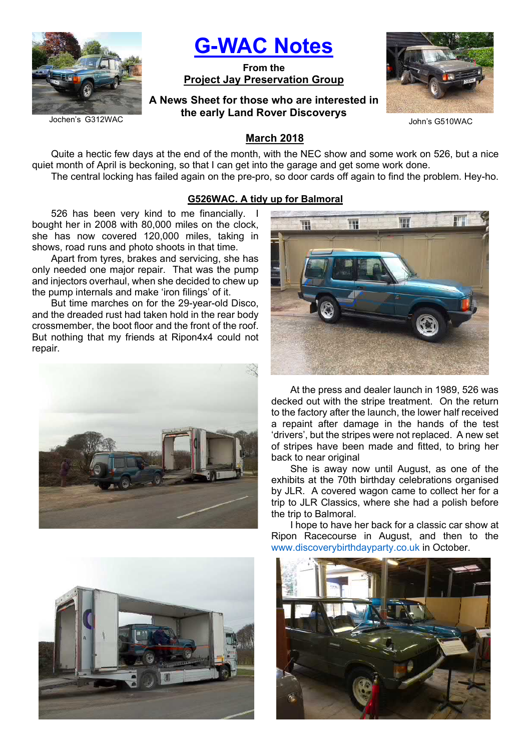

G-WAC Notes

From the Project Jay Preservation Group

A News Sheet for those who are interested in the early Land Rover Discoverys



John's G510WAC

# March 2018

Quite a hectic few days at the end of the month, with the NEC show and some work on 526, but a nice quiet month of April is beckoning, so that I can get into the garage and get some work done. The central locking has failed again on the pre-pro, so door cards off again to find the problem. Hey-ho.

#### G526WAC. A tidy up for Balmoral

526 has been very kind to me financially. I bought her in 2008 with 80,000 miles on the clock, she has now covered 120,000 miles, taking in shows, road runs and photo shoots in that time.

Apart from tyres, brakes and servicing, she has only needed one major repair. That was the pump and injectors overhaul, when she decided to chew up the pump internals and make 'iron filings' of it.

But time marches on for the 29-year-old Disco, and the dreaded rust had taken hold in the rear body crossmember, the boot floor and the front of the roof. But nothing that my friends at Ripon4x4 could not repair.





At the press and dealer launch in 1989, 526 was decked out with the stripe treatment. On the return to the factory after the launch, the lower half received a repaint after damage in the hands of the test 'drivers', but the stripes were not replaced. A new set of stripes have been made and fitted, to bring her back to near original

She is away now until August, as one of the exhibits at the 70th birthday celebrations organised by JLR. A covered wagon came to collect her for a trip to JLR Classics, where she had a polish before the trip to Balmoral.

I hope to have her back for a classic car show at Ripon Racecourse in August, and then to the www.discoverybirthdayparty.co.uk in October.



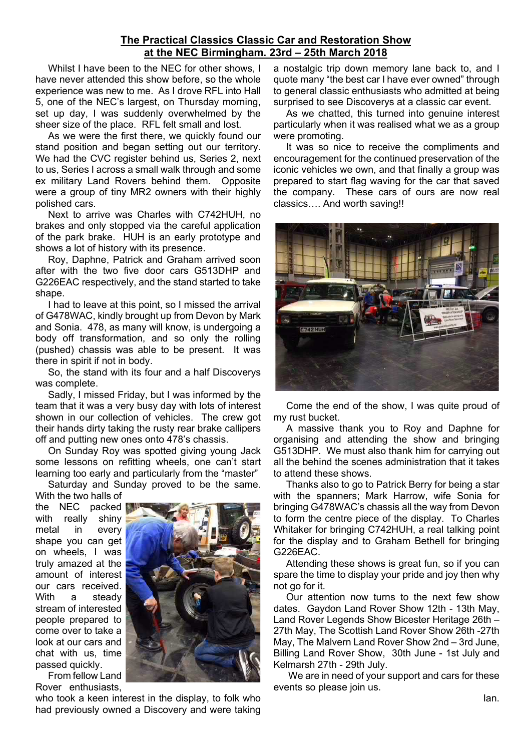### The Practical Classics Classic Car and Restoration Show at the NEC Birmingham. 23rd – 25th March 2018

Whilst I have been to the NEC for other shows, I have never attended this show before, so the whole experience was new to me. As I drove RFL into Hall 5, one of the NEC's largest, on Thursday morning, set up day, I was suddenly overwhelmed by the sheer size of the place. RFL felt small and lost.

As we were the first there, we quickly found our stand position and began setting out our territory. We had the CVC register behind us, Series 2, next to us, Series I across a small walk through and some ex military Land Rovers behind them. Opposite were a group of tiny MR2 owners with their highly polished cars.

Next to arrive was Charles with C742HUH, no brakes and only stopped via the careful application of the park brake. HUH is an early prototype and shows a lot of history with its presence.

Roy, Daphne, Patrick and Graham arrived soon after with the two five door cars G513DHP and G226EAC respectively, and the stand started to take shape.

I had to leave at this point, so I missed the arrival of G478WAC, kindly brought up from Devon by Mark and Sonia. 478, as many will know, is undergoing a body off transformation, and so only the rolling (pushed) chassis was able to be present. It was there in spirit if not in body.

So, the stand with its four and a half Discoverys was complete.

Sadly, I missed Friday, but I was informed by the team that it was a very busy day with lots of interest shown in our collection of vehicles. The crew got their hands dirty taking the rusty rear brake callipers off and putting new ones onto 478's chassis.

On Sunday Roy was spotted giving young Jack some lessons on refitting wheels, one can't start learning too early and particularly from the "master"

Saturday and Sunday proved to be the same. With the two halls of

the NEC packed with really shiny metal in every shape you can get on wheels, I was truly amazed at the amount of interest our cars received. With a steady stream of interested people prepared to come over to take a look at our cars and chat with us, time passed quickly.

From fellow Land Rover enthusiasts,

who took a keen interest in the display, to folk who had previously owned a Discovery and were taking

a nostalgic trip down memory lane back to, and I quote many "the best car I have ever owned" through to general classic enthusiasts who admitted at being surprised to see Discoverys at a classic car event.

As we chatted, this turned into genuine interest particularly when it was realised what we as a group were promoting.

It was so nice to receive the compliments and encouragement for the continued preservation of the iconic vehicles we own, and that finally a group was prepared to start flag waving for the car that saved the company. These cars of ours are now real classics…. And worth saving!!



Come the end of the show, I was quite proud of my rust bucket.

A massive thank you to Roy and Daphne for organising and attending the show and bringing G513DHP. We must also thank him for carrying out all the behind the scenes administration that it takes to attend these shows.

Thanks also to go to Patrick Berry for being a star with the spanners; Mark Harrow, wife Sonia for bringing G478WAC's chassis all the way from Devon to form the centre piece of the display. To Charles Whitaker for bringing C742HUH, a real talking point for the display and to Graham Bethell for bringing G226EAC.

Attending these shows is great fun, so if you can spare the time to display your pride and joy then why not go for it.

Our attention now turns to the next few show dates. Gaydon Land Rover Show 12th - 13th May, Land Rover Legends Show Bicester Heritage 26th – 27th May, The Scottish Land Rover Show 26th -27th May, The Malvern Land Rover Show 2nd – 3rd June, Billing Land Rover Show, 30th June - 1st July and Kelmarsh 27th - 29th July.

 We are in need of your support and cars for these events so please join us.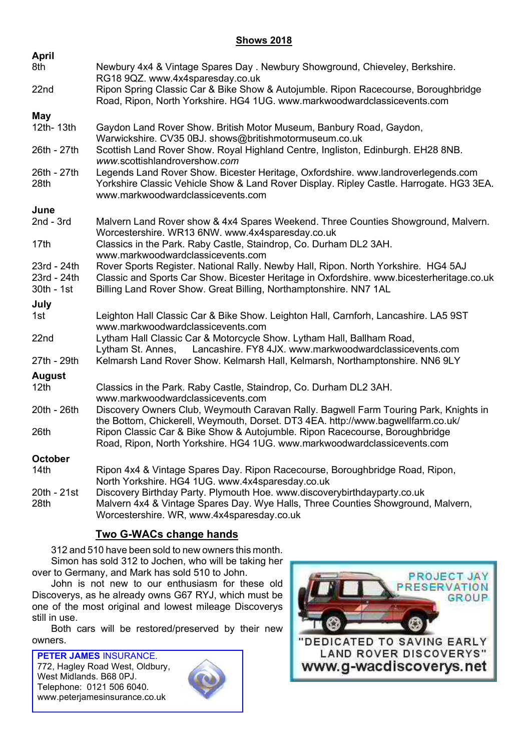### **Shows 2018**

| April                     |                                                                                                                                                                                                                   |  |  |  |  |
|---------------------------|-------------------------------------------------------------------------------------------------------------------------------------------------------------------------------------------------------------------|--|--|--|--|
| 8th                       | Newbury 4x4 & Vintage Spares Day . Newbury Showground, Chieveley, Berkshire.<br>RG18 9QZ. www.4x4sparesday.co.uk                                                                                                  |  |  |  |  |
| 22nd                      | Ripon Spring Classic Car & Bike Show & Autojumble. Ripon Racecourse, Boroughbridge<br>Road, Ripon, North Yorkshire. HG4 1UG. www.markwoodwardclassicevents.com                                                    |  |  |  |  |
| May                       |                                                                                                                                                                                                                   |  |  |  |  |
| 12th-13th                 | Gaydon Land Rover Show. British Motor Museum, Banbury Road, Gaydon,<br>Warwickshire. CV35 0BJ. shows@britishmotormuseum.co.uk                                                                                     |  |  |  |  |
| 26th - 27th               | Scottish Land Rover Show. Royal Highland Centre, Ingliston, Edinburgh. EH28 8NB.<br>www.scottishlandrovershow.com                                                                                                 |  |  |  |  |
| 26th - 27th<br>28th       | Legends Land Rover Show. Bicester Heritage, Oxfordshire. www.landroverlegends.com<br>Yorkshire Classic Vehicle Show & Land Rover Display. Ripley Castle. Harrogate. HG3 3EA.<br>www.markwoodwardclassicevents.com |  |  |  |  |
| June                      |                                                                                                                                                                                                                   |  |  |  |  |
| $2nd - 3rd$               | Malvern Land Rover show & 4x4 Spares Weekend. Three Counties Showground, Malvern.<br>Worcestershire. WR13 6NW. www.4x4sparesday.co.uk                                                                             |  |  |  |  |
| 17th                      | Classics in the Park. Raby Castle, Staindrop, Co. Durham DL2 3AH.<br>www.markwoodwardclassicevents.com                                                                                                            |  |  |  |  |
| 23rd - 24th               | Rover Sports Register. National Rally. Newby Hall, Ripon. North Yorkshire. HG4 5AJ                                                                                                                                |  |  |  |  |
| 23rd - 24th<br>30th - 1st | Classic and Sports Car Show. Bicester Heritage in Oxfordshire. www.bicesterheritage.co.uk<br>Billing Land Rover Show. Great Billing, Northamptonshire. NN7 1AL                                                    |  |  |  |  |
| July                      |                                                                                                                                                                                                                   |  |  |  |  |
| 1st                       | Leighton Hall Classic Car & Bike Show. Leighton Hall, Carnforh, Lancashire. LA5 9ST<br>www.markwoodwardclassicevents.com                                                                                          |  |  |  |  |
| 22nd                      | Lytham Hall Classic Car & Motorcycle Show. Lytham Hall, Ballham Road,<br>Lancashire. FY8 4JX. www.markwoodwardclassicevents.com<br>Lytham St. Annes,                                                              |  |  |  |  |
| 27th - 29th               | Kelmarsh Land Rover Show. Kelmarsh Hall, Kelmarsh, Northamptonshire. NN6 9LY                                                                                                                                      |  |  |  |  |
| <b>August</b>             |                                                                                                                                                                                                                   |  |  |  |  |
| 12 <sub>th</sub>          | Classics in the Park. Raby Castle, Staindrop, Co. Durham DL2 3AH.<br>www.markwoodwardclassicevents.com                                                                                                            |  |  |  |  |
| 20th - 26th               | Discovery Owners Club, Weymouth Caravan Rally. Bagwell Farm Touring Park, Knights in<br>the Bottom, Chickerell, Weymouth, Dorset. DT3 4EA. http://www.bagwellfarm.co.uk/                                          |  |  |  |  |
| 26th                      | Ripon Classic Car & Bike Show & Autojumble. Ripon Racecourse, Boroughbridge<br>Road, Ripon, North Yorkshire. HG4 1UG. www.markwoodwardclassicevents.com                                                           |  |  |  |  |
| October                   |                                                                                                                                                                                                                   |  |  |  |  |
| 14 <sub>th</sub>          | Ripon 4x4 & Vintage Spares Day. Ripon Racecourse, Boroughbridge Road, Ripon,<br>North Yorkshire. HG4 1UG. www.4x4sparesday.co.uk                                                                                  |  |  |  |  |
| 20th - 21st               | Discovery Birthday Party. Plymouth Hoe. www.discoverybirthdayparty.co.uk                                                                                                                                          |  |  |  |  |
| 28th                      | Malvern 4x4 & Vintage Spares Day. Wye Halls, Three Counties Showground, Malvern,<br>Worcestershire. WR, www.4x4sparesday.co.uk                                                                                    |  |  |  |  |

# Two G-WACs change hands

312 and 510 have been sold to new owners this month. Simon has sold 312 to Jochen, who will be taking her over to Germany, and Mark has sold 510 to John.

John is not new to our enthusiasm for these old Discoverys, as he already owns G67 RYJ, which must be one of the most original and lowest mileage Discoverys still in use.

Both cars will be restored/preserved by their new owners.

PETER JAMES INSURANCE. 772, Hagley Road West, Oldbury, West Midlands. B68 0PJ. Telephone: 0121 506 6040. www.peterjamesinsurance.co.uk